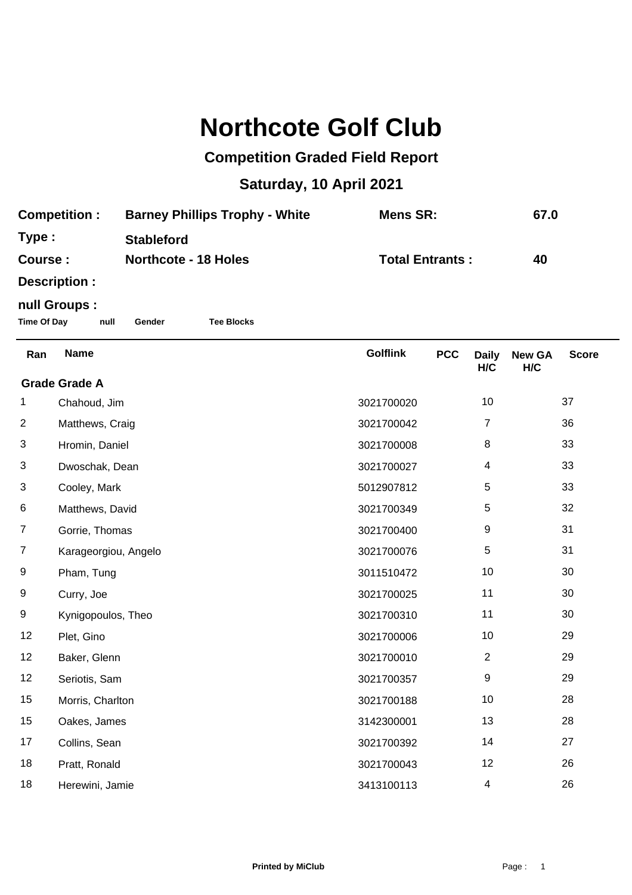## **Northcote Golf Club**

## **Competition Graded Field Report**

## **Saturday, 10 April 2021**

| <b>Competition:</b> | <b>Barney Phillips Trophy - White</b> | Mens SR:               | 67.0 |
|---------------------|---------------------------------------|------------------------|------|
| Type:               | <b>Stableford</b>                     |                        |      |
| Course :            | <b>Northcote - 18 Holes</b>           | <b>Total Entrants:</b> | 40   |
|                     |                                       |                        |      |

**Description :**

## **null Groups :**

**Time Of Day null Gender Tee Blocks**

| Ran                  | <b>Name</b>          | <b>Golflink</b> | <b>PCC</b> | <b>Daily</b><br>H/C | <b>New GA</b><br>H/C | <b>Score</b> |  |
|----------------------|----------------------|-----------------|------------|---------------------|----------------------|--------------|--|
| <b>Grade Grade A</b> |                      |                 |            |                     |                      |              |  |
| 1                    | Chahoud, Jim         | 3021700020      |            | 10                  |                      | 37           |  |
| $\overline{2}$       | Matthews, Craig      | 3021700042      |            | 7                   |                      | 36           |  |
| 3                    | Hromin, Daniel       | 3021700008      |            | $\,8\,$             |                      | 33           |  |
| 3                    | Dwoschak, Dean       | 3021700027      |            | 4                   |                      | 33           |  |
| 3                    | Cooley, Mark         | 5012907812      |            | 5                   |                      | 33           |  |
| 6                    | Matthews, David      | 3021700349      |            | 5                   |                      | 32           |  |
| $\overline{7}$       | Gorrie, Thomas       | 3021700400      |            | 9                   |                      | 31           |  |
| 7                    | Karageorgiou, Angelo | 3021700076      |            | 5                   |                      | 31           |  |
| 9                    | Pham, Tung           | 3011510472      |            | 10                  |                      | 30           |  |
| 9                    | Curry, Joe           | 3021700025      |            | 11                  |                      | 30           |  |
| 9                    | Kynigopoulos, Theo   | 3021700310      |            | 11                  |                      | 30           |  |
| 12                   | Plet, Gino           | 3021700006      |            | 10                  |                      | 29           |  |
| 12                   | Baker, Glenn         | 3021700010      |            | $\overline{2}$      |                      | 29           |  |
| 12                   | Seriotis, Sam        | 3021700357      |            | 9                   |                      | 29           |  |
| 15                   | Morris, Charlton     | 3021700188      |            | 10                  |                      | 28           |  |
| 15                   | Oakes, James         | 3142300001      |            | 13                  |                      | 28           |  |
| 17                   | Collins, Sean        | 3021700392      |            | 14                  |                      | 27           |  |
| 18                   | Pratt, Ronald        | 3021700043      |            | 12                  |                      | 26           |  |
| 18                   | Herewini, Jamie      | 3413100113      |            | 4                   |                      | 26           |  |